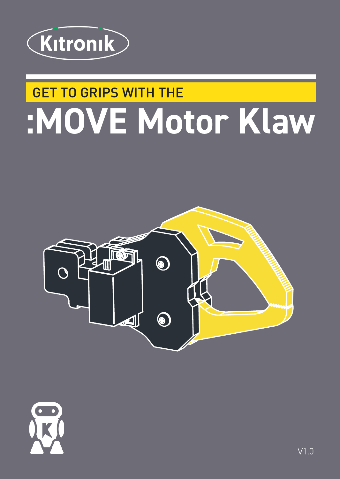

## **GET TO GRIPS WITH THE** :MOVE Motor Klaw



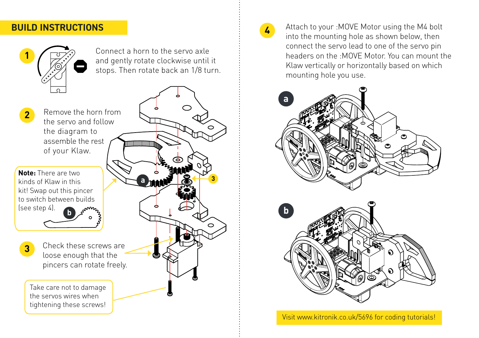## **BUILD INSTRUCTIONS**



Connect a horn to the servo axle and gently rotate clockwise until it stops. Then rotate back an 1/8 turn.

**2** Remove the horn from the servo and follow the diagram to assemble the rest of your Klaw.

**Note:** There are two kinds of Klaw in this kit! Swap out this pincer to switch between builds (see step 4). **b**<sub>*b*</sub><sup>*b*<sub>p</sub></sup>

**3**

- 
- Check these screws are loose enough that the pincers can rotate freely.

Take care not to damage the servos wires when tightening these screws!





**4** Attach to your : MOVE Motor using the M4 bolt into the mounting hole as shown below, then connect the servo lead to one of the servo pin headers on the :MOVE Motor. You can mount the Klaw vertically or horizontally based on which mounting hole you use.





Visit www.kitronik.co.uk/5696 for coding tutorials!